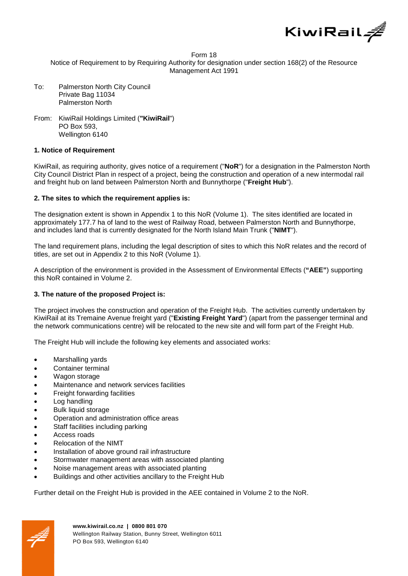

#### Form 18

Notice of Requirement to by Requiring Authority for designation under section 168(2) of the Resource Management Act 1991

- To: Palmerston North City Council Private Bag 11034 Palmerston North
- From: KiwiRail Holdings Limited (**"KiwiRail**") PO Box 593, Wellington 6140

#### **1. Notice of Requirement**

KiwiRail, as requiring authority, gives notice of a requirement ("**NoR**") for a designation in the Palmerston North City Council District Plan in respect of a project, being the construction and operation of a new intermodal rail and freight hub on land between Palmerston North and Bunnythorpe ("**Freight Hub**").

#### **2. The sites to which the requirement applies is:**

The designation extent is shown in Appendix 1 to this NoR (Volume 1). The sites identified are located in approximately 177.7 ha of land to the west of Railway Road, between Palmerston North and Bunnythorpe, and includes land that is currently designated for the North Island Main Trunk ("**NIMT**").

The land requirement plans, including the legal description of sites to which this NoR relates and the record of titles, are set out in Appendix 2 to this NoR (Volume 1).

A description of the environment is provided in the Assessment of Environmental Effects (**"AEE"**) supporting this NoR contained in Volume 2.

#### **3. The nature of the proposed Project is:**

The project involves the construction and operation of the Freight Hub. The activities currently undertaken by KiwiRail at its Tremaine Avenue freight yard ("**Existing Freight Yard**") (apart from the passenger terminal and the network communications centre) will be relocated to the new site and will form part of the Freight Hub.

The Freight Hub will include the following key elements and associated works:

- Marshalling yards
- Container terminal
- Wagon storage
- Maintenance and network services facilities
- Freight forwarding facilities
- Log handling
- Bulk liquid storage
- Operation and administration office areas
- Staff facilities including parking
- Access roads
- Relocation of the NIMT
- Installation of above ground rail infrastructure
- Stormwater management areas with associated planting
- Noise management areas with associated planting
- Buildings and other activities ancillary to the Freight Hub

Further detail on the Freight Hub is provided in the AEE contained in Volume 2 to the NoR.

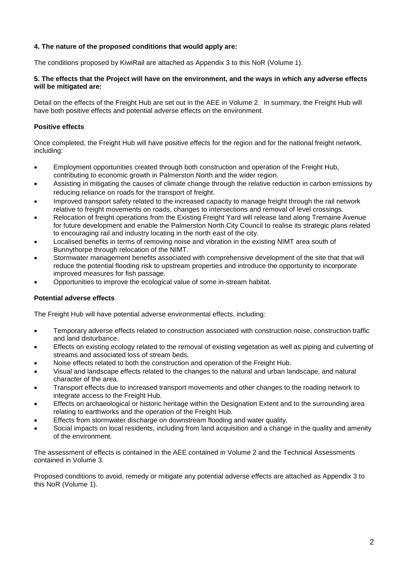# **4. The nature of the proposed conditions that would apply are:**

The conditions proposed by KiwiRail are attached as Appendix 3 to this NoR (Volume 1).

#### **5. The effects that the Project will have on the environment, and the ways in which any adverse effects will be mitigated are:**

Detail on the effects of the Freight Hub are set out in the AEE in Volume 2. In summary, the Freight Hub will have both positive effects and potential adverse effects on the environment.

# **Positive effects**

Once completed, the Freight Hub will have positive effects for the region and for the national freight network, including:

- Employment opportunities created through both construction and operation of the Freight Hub, contributing to economic growth in Palmerston North and the wider region.
- Assisting in mitigating the causes of climate change through the relative reduction in carbon emissions by reducing reliance on roads for the transport of freight.
- Improved transport safety related to the increased capacity to manage freight through the rail network relative to freight movements on roads, changes to intersections and removal of level crossings.
- Relocation of freight operations from the Existing Freight Yard will release land along Tremaine Avenue for future development and enable the Palmerston North City Council to realise its strategic plans related to encouraging rail and industry locating in the north east of the city.
- Localised benefits in terms of removing noise and vibration in the existing NIMT area south of Bunnythorpe through relocation of the NIMT.
- Stormwater management benefits associated with comprehensive development of the site that that will reduce the potential flooding risk to upstream properties and introduce the opportunity to incorporate improved measures for fish passage.
- Opportunities to improve the ecological value of some in-stream habitat.

# **Potential adverse effects**

The Freight Hub will have potential adverse environmental effects, including:

- Temporary adverse effects related to construction associated with construction noise, construction traffic and land disturbance.
- Effects on existing ecology related to the removal of existing vegetation as well as piping and culverting of streams and associated loss of stream beds.
- Noise effects related to both the construction and operation of the Freight Hub.
- Visual and landscape effects related to the changes to the natural and urban landscape, and natural character of the area.
- Transport effects due to increased transport movements and other changes to the roading network to integrate access to the Freight Hub.
- Effects on archaeological or historic heritage within the Designation Extent and to the surrounding area relating to earthworks and the operation of the Freight Hub.
- Effects from stormwater discharge on downstream flooding and water quality.
- Social impacts on local residents, including from land acquisition and a change in the quality and amenity of the environment.

The assessment of effects is contained in the AEE contained in Volume 2 and the Technical Assessments contained in Volume 3.

Proposed conditions to avoid, remedy or mitigate any potential adverse effects are attached as Appendix 3 to this NoR (Volume 1).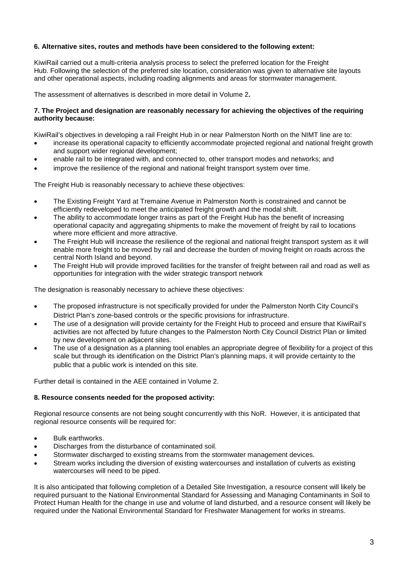# **6. Alternative sites, routes and methods have been considered to the following extent:**

KiwiRail carried out a multi-criteria analysis process to select the preferred location for the Freight Hub. Following the selection of the preferred site location, consideration was given to alternative site layouts and other operational aspects, including roading alignments and areas for stormwater management.

The assessment of alternatives is described in more detail in Volume 2**.**

# **7. The Project and designation are reasonably necessary for achieving the objectives of the requiring authority because:**

KiwiRail's objectives in developing a rail Freight Hub in or near Palmerston North on the NIMT line are to:

- increase its operational capacity to efficiently accommodate projected regional and national freight growth and support wider regional development;
- enable rail to be integrated with, and connected to, other transport modes and networks; and
- improve the resilience of the regional and national freight transport system over time.

The Freight Hub is reasonably necessary to achieve these objectives:

- The Existing Freight Yard at Tremaine Avenue in Palmerston North is constrained and cannot be efficiently redeveloped to meet the anticipated freight growth and the modal shift.
- The ability to accommodate longer trains as part of the Freight Hub has the benefit of increasing operational capacity and aggregating shipments to make the movement of freight by rail to locations where more efficient and more attractive.
- The Freight Hub will increase the resilience of the regional and national freight transport system as it will enable more freight to be moved by rail and decrease the burden of moving freight on roads across the central North Island and beyond.
- The Freight Hub will provide improved facilities for the transfer of freight between rail and road as well as opportunities for integration with the wider strategic transport network

The designation is reasonably necessary to achieve these objectives:

- The proposed infrastructure is not specifically provided for under the Palmerston North City Council's District Plan's zone-based controls or the specific provisions for infrastructure.
- The use of a designation will provide certainty for the Freight Hub to proceed and ensure that KiwiRail's activities are not affected by future changes to the Palmerston North City Council District Plan or limited by new development on adjacent sites.
- The use of a designation as a planning tool enables an appropriate degree of flexibility for a project of this scale but through its identification on the District Plan's planning maps, it will provide certainty to the public that a public work is intended on this site.

Further detail is contained in the AEE contained in Volume 2.

#### **8. Resource consents needed for the proposed activity:**

Regional resource consents are not being sought concurrently with this NoR. However, it is anticipated that regional resource consents will be required for:

- Bulk earthworks.
- Discharges from the disturbance of contaminated soil.
- Stormwater discharged to existing streams from the stormwater management devices.
- Stream works including the diversion of existing watercourses and installation of culverts as existing watercourses will need to be piped.

It is also anticipated that following completion of a Detailed Site Investigation, a resource consent will likely be required pursuant to the National Environmental Standard for Assessing and Managing Contaminants in Soil to Protect Human Health for the change in use and volume of land disturbed, and a resource consent will likely be required under the National Environmental Standard for Freshwater Management for works in streams.